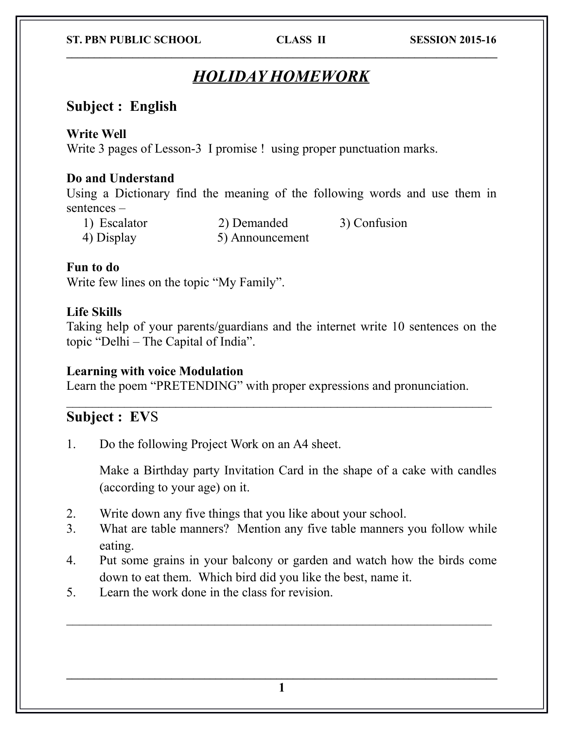#### **ST. PBN PUBLIC SCHOOL CLASS II SESSION 2015-16**

# *HOLIDAY HOMEWORK*

 $\mathcal{L}_\mathcal{L} = \{ \mathcal{L}_\mathcal{L} = \{ \mathcal{L}_\mathcal{L} = \{ \mathcal{L}_\mathcal{L} = \{ \mathcal{L}_\mathcal{L} = \{ \mathcal{L}_\mathcal{L} = \{ \mathcal{L}_\mathcal{L} = \{ \mathcal{L}_\mathcal{L} = \{ \mathcal{L}_\mathcal{L} = \{ \mathcal{L}_\mathcal{L} = \{ \mathcal{L}_\mathcal{L} = \{ \mathcal{L}_\mathcal{L} = \{ \mathcal{L}_\mathcal{L} = \{ \mathcal{L}_\mathcal{L} = \{ \mathcal{L}_\mathcal{$ 

## **Subject : English**

### **Write Well**

Write 3 pages of Lesson-3 I promise ! using proper punctuation marks.

### **Do and Understand**

Using a Dictionary find the meaning of the following words and use them in sentences –

1) Escalator 2) Demanded 3) Confusion 4) Display 5) Announcement

### **Fun to do**

Write few lines on the topic "My Family".

#### **Life Skills**

Taking help of your parents/guardians and the internet write 10 sentences on the topic "Delhi – The Capital of India".

#### **Learning with voice Modulation**

Learn the poem "PRETENDING" with proper expressions and pronunciation.

## **Subject : EV**S

1. Do the following Project Work on an A4 sheet.

Make a Birthday party Invitation Card in the shape of a cake with candles (according to your age) on it.

- 2. Write down any five things that you like about your school.
- 3. What are table manners? Mention any five table manners you follow while eating.
- 4. Put some grains in your balcony or garden and watch how the birds come down to eat them. Which bird did you like the best, name it.

 $\mathcal{L}_\text{max}$  , and the contract of the contract of the contract of the contract of the contract of the contract of the contract of the contract of the contract of the contract of the contract of the contract of the contr

5. Learn the work done in the class for revision.

 $\mathcal{L}_\mathcal{L} = \{ \mathcal{L}_\mathcal{L} = \{ \mathcal{L}_\mathcal{L} = \{ \mathcal{L}_\mathcal{L} = \{ \mathcal{L}_\mathcal{L} = \{ \mathcal{L}_\mathcal{L} = \{ \mathcal{L}_\mathcal{L} = \{ \mathcal{L}_\mathcal{L} = \{ \mathcal{L}_\mathcal{L} = \{ \mathcal{L}_\mathcal{L} = \{ \mathcal{L}_\mathcal{L} = \{ \mathcal{L}_\mathcal{L} = \{ \mathcal{L}_\mathcal{L} = \{ \mathcal{L}_\mathcal{L} = \{ \mathcal{L}_\mathcal{$ **1**